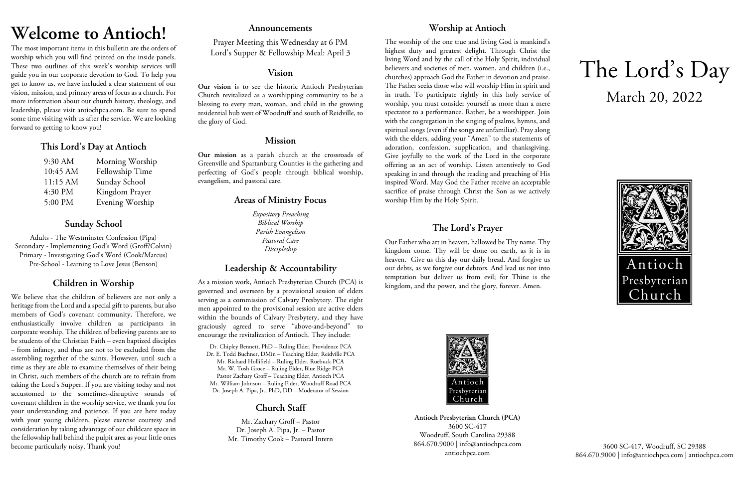# **Welcome to Antioch!**

The most important items in this bulletin are the orders of worship which you will find printed on the inside panels. These two outlines of this week's worship services will guide you in our corporate devotion to God. To help you get to know us, we have included a clear statement of our vision, mission, and primary areas of focus as a church. For more information about our church history, theology, and leadership, please visit antiochpca.com. Be sure to spend some time visiting with us after the service. We are looking forward to getting to know you!

## **This Lord's Day at Antioch**

| 9:30 AM  | Morning Worship |
|----------|-----------------|
| 10:45 AM | Fellowship Time |
| 11:15 AM | Sunday School   |
| 4:30 PM  | Kingdom Prayer  |
| 5:00 PM  | Evening Worship |

# **Sunday School**

Adults - The Westminster Confession (Pipa) Secondary - Implementing God's Word (Groff/Colvin) Primary - Investigating God's Word (Cook/Marcus) Pre-School - Learning to Love Jesus (Benson)

# **Children in Worship**

We believe that the children of believers are not only a heritage from the Lord and a special gift to parents, but also members of God's covenant community. Therefore, we enthusiastically involve children as participants in corporate worship. The children of believing parents are to be students of the Christian Faith – even baptized disciples – from infancy, and thus are not to be excluded from the assembling together of the saints. However, until such a time as they are able to examine themselves of their being in Christ, such members of the church are to refrain from taking the Lord's Supper. If you are visiting today and not accustomed to the sometimes-disruptive sounds of covenant children in the worship service, we thank you for your understanding and patience. If you are here today with your young children, please exercise courtesy and consideration by taking advantage of our childcare space in the fellowship hall behind the pulpit area as your little ones become particularly noisy. Thank you!

### **Announcements**

Prayer Meeting this Wednesday at 6 PM Lord's Supper & Fellowship Meal: April 3

### **Vision**

**Our vision** is to see the historic Antioch Presbyterian Church revitalized as a worshipping community to be a blessing to every man, woman, and child in the growing residential hub west of Woodruff and south of Reidville, to the glory of God.

## **Mission**

**Our mission** as a parish church at the crossroads of Greenville and Spartanburg Counties is the gathering and perfecting of God's people through biblical worship, evangelism, and pastoral care.

## **Areas of Ministry Focus**

*Expository Preaching Biblical Worship Parish Evangelism Pastoral Care Discipleship*

# **Leadership & Accountability**

As a mission work, Antioch Presbyterian Church (PCA) is governed and overseen by a provisional session of elders serving as a commission of Calvary Presbytery. The eight men appointed to the provisional session are active elders within the bounds of Calvary Presbytery, and they have graciously agreed to serve "above-and-beyond" to encourage the revitalization of Antioch. They include:

Dr. Chipley Bennett, PhD – Ruling Elder, Providence PCA Dr. E. Todd Buchner, DMin – Teaching Elder, Reidville PCA Mr. Richard Hollifield – Ruling Elder, Roebuck PCA Mr. W. Tosh Groce – Ruling Elder, Blue Ridge PCA Pastor Zachary Groff – Teaching Elder, Antioch PCA Mr. William Johnson – Ruling Elder, Woodruff Road PCA Dr. Joseph A. Pipa, Jr., PhD, DD – Moderator of Session

# **Church Staff**

Mr. Zachary Groff – Pastor Dr. Joseph A. Pipa, Jr. – Pastor Mr. Timothy Cook – Pastoral Intern

# **Worship at Antioch**

The worship of the one true and living God is mankind's highest duty and greatest delight. Through Christ the living Word and by the call of the Holy Spirit, individual believers and societies of men, women, and children (i.e., churches) approach God the Father in devotion and praise. The Father seeks those who will worship Him in spirit and in truth. To participate rightly in this holy service of worship, you must consider yourself as more than a mere spectator to a performance. Rather, be a worshipper. Join with the congregation in the singing of psalms, hymns, and spiritual songs (even if the songs are unfamiliar). Pray along with the elders, adding your "Amen" to the statements of adoration, confession, supplication, and thanksgiving. Give joyfully to the work of the Lord in the corporate offering as an act of worship. Listen attentively to God speaking in and through the reading and preaching of His inspired Word. May God the Father receive an acceptable sacrifice of praise through Christ the Son as we actively worship Him by the Holy Spirit.

## **The Lord's Prayer**

Our Father who art in heaven, hallowed be Thy name. Thy kingdom come. Thy will be done on earth, as it is in heaven. Give us this day our daily bread. And forgive us our debts, as we forgive our debtors. And lead us not into temptation but deliver us from evil; for Thine is the kingdom, and the power, and the glory, forever. Amen.



**Antioch Presbyterian Church (PCA)** 3600 SC-417 Woodruff, South Carolina 29388 864.670.9000 | info@antiochpca.com antiochpca.com

# The Lord's Day March 20, 2022



3600 SC-417, Woodruff, SC 29388 864.670.9000 | info@antiochpca.com | antiochpca.com